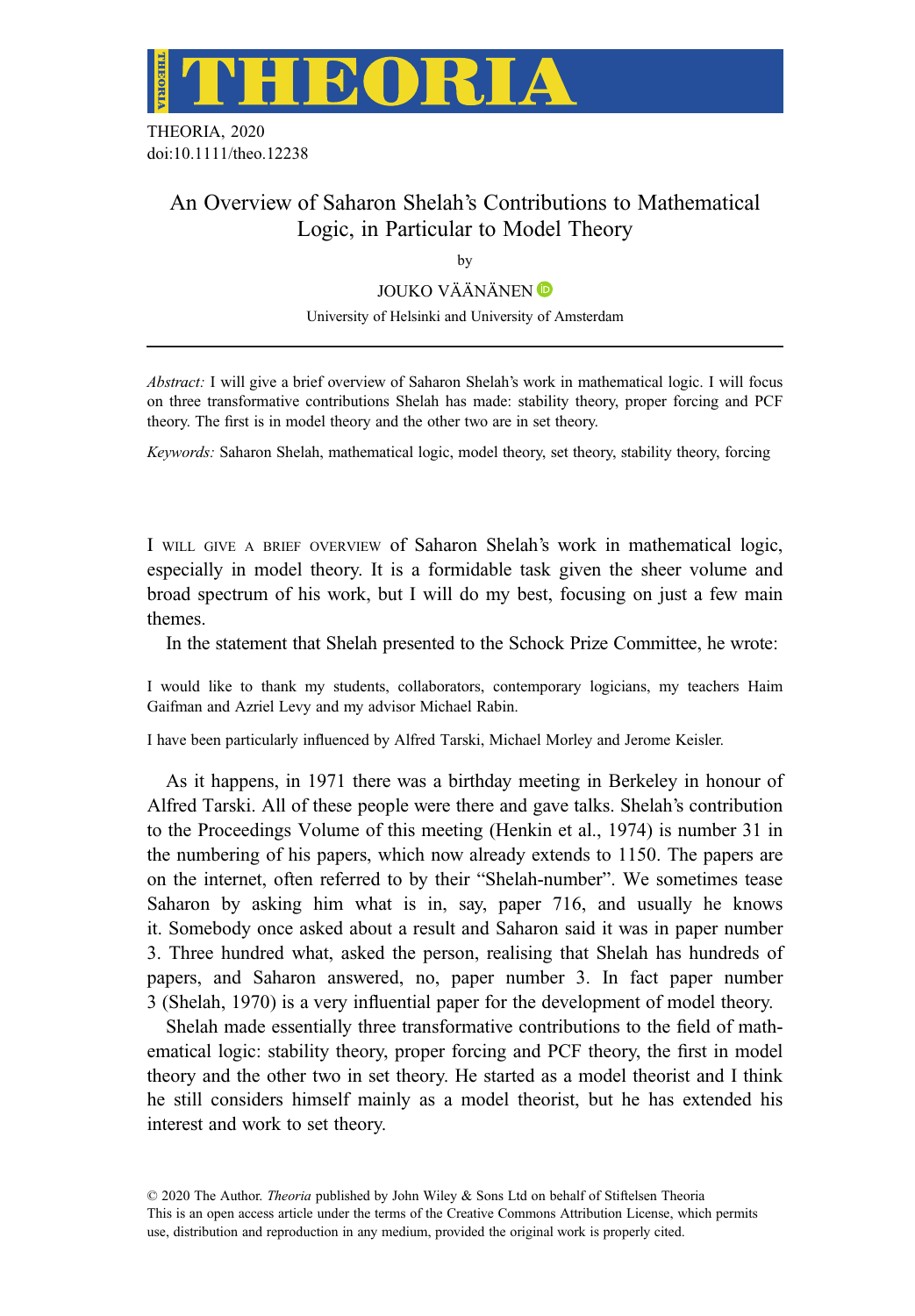

THEORIA, 2020 doi:10.1111/theo.12238

# An Overview of Saharon Shelah's Contributions to Mathematical Logic, in Particular to Model Theory

by

JOUKO VÄÄNÄNEN D

University of Helsinki and University of Amsterdam

Abstract: I will give a brief overview of Saharon Shelah's work in mathematical logic. I will focus on three transformative contributions Shelah has made: stability theory, proper forcing and PCF theory. The first is in model theory and the other two are in set theory.

Keywords: Saharon Shelah, mathematical logic, model theory, set theory, stability theory, forcing

I WILL GIVE A BRIEF OVERVIEW of Saharon Shelah's work in mathematical logic, especially in model theory. It is a formidable task given the sheer volume and broad spectrum of his work, but I will do my best, focusing on just a few main themes.

In the statement that Shelah presented to the Schock Prize Committee, he wrote:

I would like to thank my students, collaborators, contemporary logicians, my teachers Haim Gaifman and Azriel Levy and my advisor Michael Rabin.

I have been particularly influenced by Alfred Tarski, Michael Morley and Jerome Keisler.

As it happens, in 1971 there was a birthday meeting in Berkeley in honour of Alfred Tarski. All of these people were there and gave talks. Shelah's contribution to the Proceedings Volume of this meeting (Henkin et al., 1974) is number 31 in the numbering of his papers, which now already extends to 1150. The papers are on the internet, often referred to by their "Shelah-number". We sometimes tease Saharon by asking him what is in, say, paper 716, and usually he knows it. Somebody once asked about a result and Saharon said it was in paper number 3. Three hundred what, asked the person, realising that Shelah has hundreds of papers, and Saharon answered, no, paper number 3. In fact paper number 3 (Shelah, 1970) is a very influential paper for the development of model theory.

Shelah made essentially three transformative contributions to the field of mathematical logic: stability theory, proper forcing and PCF theory, the first in model theory and the other two in set theory. He started as a model theorist and I think he still considers himself mainly as a model theorist, but he has extended his interest and work to set theory.

© 2020 The Author. Theoria published by John Wiley & Sons Ltd on behalf of Stiftelsen Theoria This is an open access article under the terms of the [Creative Commons Attribution](http://creativecommons.org/licenses/by/4.0/) License, which permits use, distribution and reproduction in any medium, provided the original work is properly cited.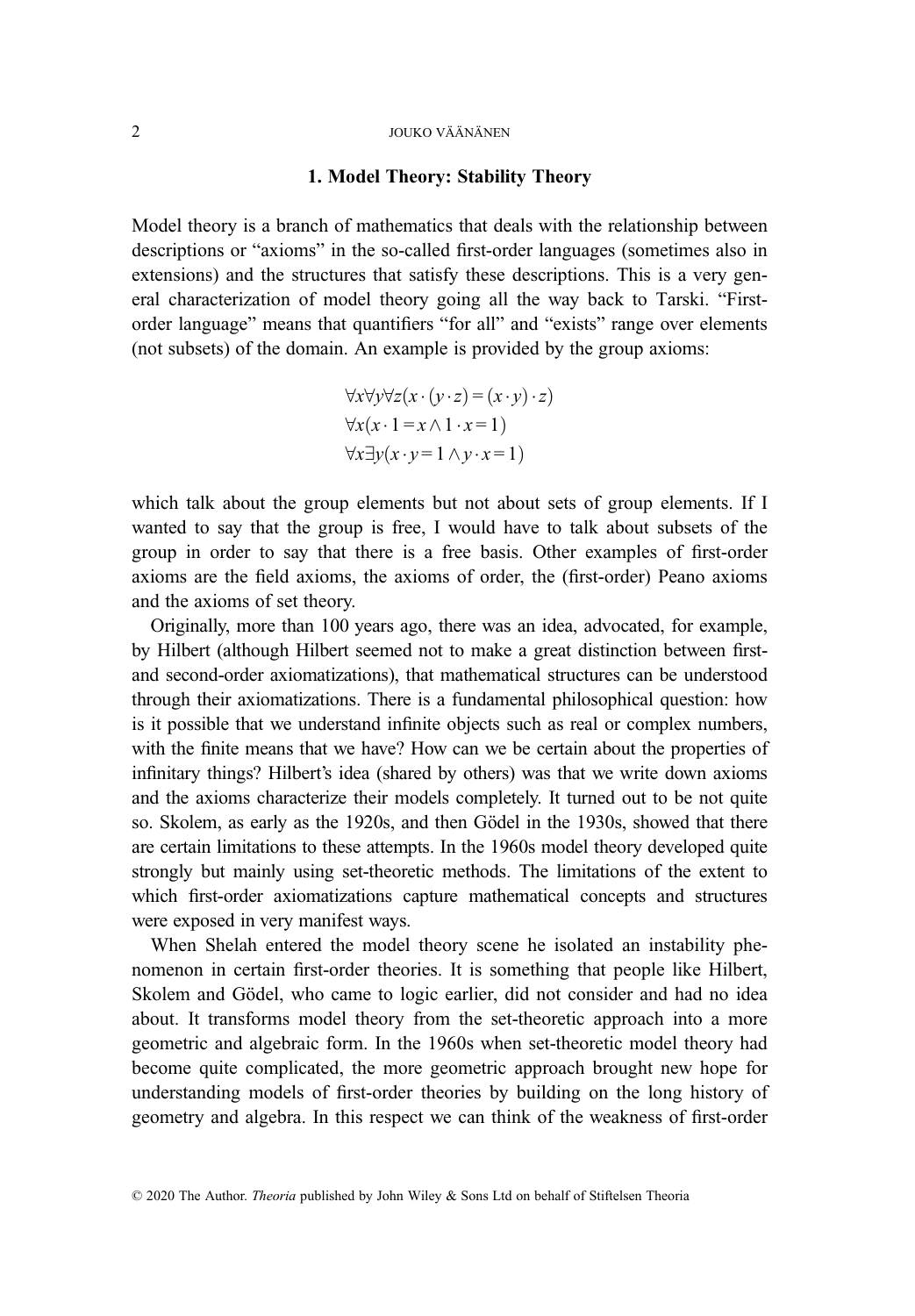### 1. Model Theory: Stability Theory

Model theory is a branch of mathematics that deals with the relationship between descriptions or "axioms" in the so-called first-order languages (sometimes also in extensions) and the structures that satisfy these descriptions. This is a very general characterization of model theory going all the way back to Tarski. "Firstorder language" means that quantifiers "for all" and "exists" range over elements (not subsets) of the domain. An example is provided by the group axioms:

$$
\forall x \forall y \forall z (x \cdot (y \cdot z) = (x \cdot y) \cdot z)
$$
  

$$
\forall x (x \cdot 1 = x \land 1 \cdot x = 1)
$$
  

$$
\forall x \exists y (x \cdot y = 1 \land y \cdot x = 1)
$$

which talk about the group elements but not about sets of group elements. If I wanted to say that the group is free, I would have to talk about subsets of the group in order to say that there is a free basis. Other examples of first-order axioms are the field axioms, the axioms of order, the (first-order) Peano axioms and the axioms of set theory.

Originally, more than 100 years ago, there was an idea, advocated, for example, by Hilbert (although Hilbert seemed not to make a great distinction between firstand second-order axiomatizations), that mathematical structures can be understood through their axiomatizations. There is a fundamental philosophical question: how is it possible that we understand infinite objects such as real or complex numbers, with the finite means that we have? How can we be certain about the properties of infinitary things? Hilbert's idea (shared by others) was that we write down axioms and the axioms characterize their models completely. It turned out to be not quite so. Skolem, as early as the 1920s, and then Gödel in the 1930s, showed that there are certain limitations to these attempts. In the 1960s model theory developed quite strongly but mainly using set-theoretic methods. The limitations of the extent to which first-order axiomatizations capture mathematical concepts and structures were exposed in very manifest ways.

When Shelah entered the model theory scene he isolated an instability phenomenon in certain first-order theories. It is something that people like Hilbert, Skolem and Gödel, who came to logic earlier, did not consider and had no idea about. It transforms model theory from the set-theoretic approach into a more geometric and algebraic form. In the 1960s when set-theoretic model theory had become quite complicated, the more geometric approach brought new hope for understanding models of first-order theories by building on the long history of geometry and algebra. In this respect we can think of the weakness of first-order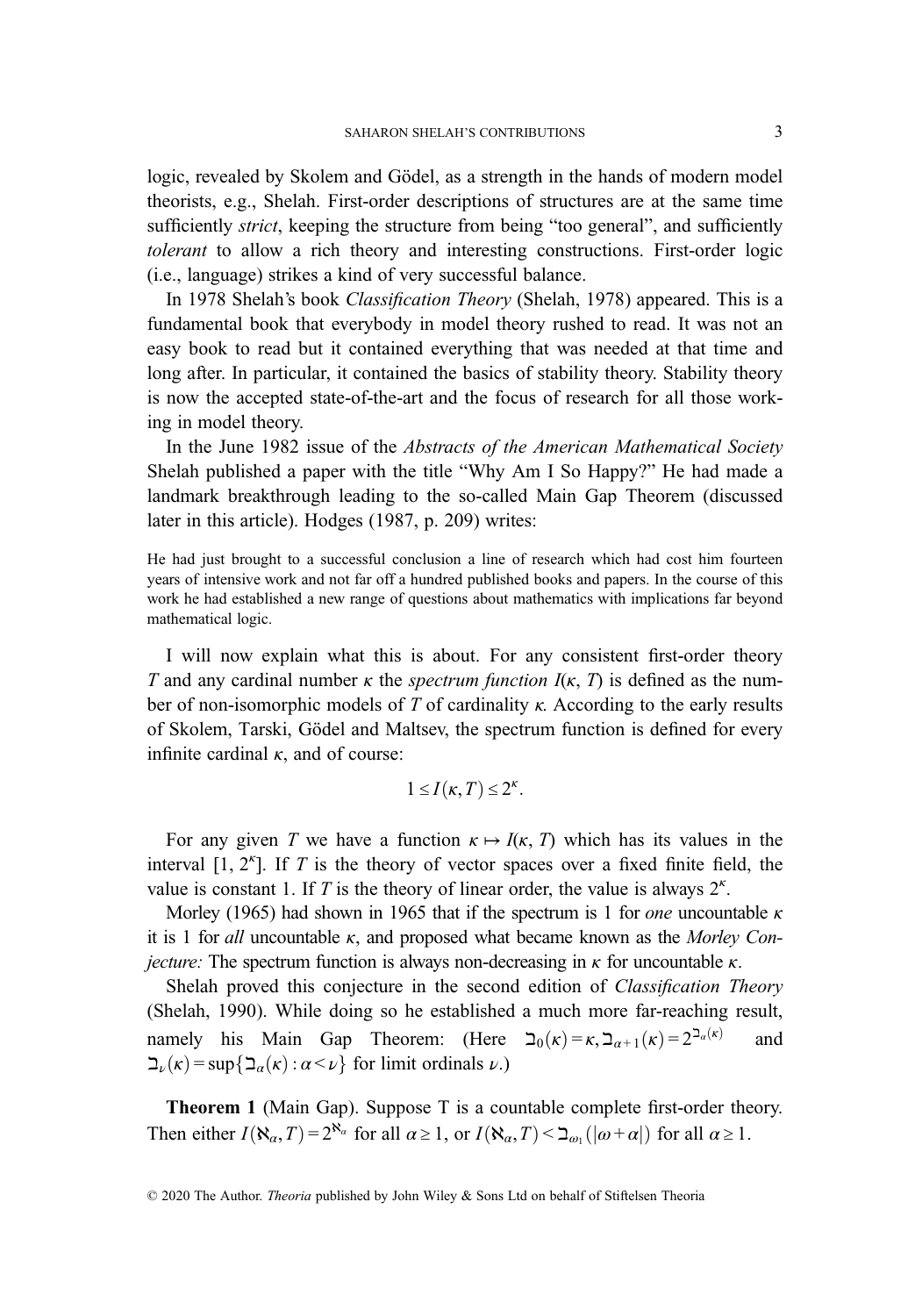logic, revealed by Skolem and Gödel, as a strength in the hands of modern model theorists, e.g., Shelah. First-order descriptions of structures are at the same time sufficiently *strict*, keeping the structure from being "too general", and sufficiently tolerant to allow a rich theory and interesting constructions. First-order logic (i.e., language) strikes a kind of very successful balance.

In 1978 Shelah's book Classification Theory (Shelah, 1978) appeared. This is a fundamental book that everybody in model theory rushed to read. It was not an easy book to read but it contained everything that was needed at that time and long after. In particular, it contained the basics of stability theory. Stability theory is now the accepted state-of-the-art and the focus of research for all those working in model theory.

In the June 1982 issue of the Abstracts of the American Mathematical Society Shelah published a paper with the title "Why Am I So Happy?" He had made a landmark breakthrough leading to the so-called Main Gap Theorem (discussed later in this article). Hodges (1987, p. 209) writes:

He had just brought to a successful conclusion a line of research which had cost him fourteen years of intensive work and not far off a hundred published books and papers. In the course of this work he had established a new range of questions about mathematics with implications far beyond mathematical logic.

I will now explain what this is about. For any consistent first-order theory T and any cardinal number  $\kappa$  the *spectrum function I(* $\kappa$ *, T)* is defined as the number of non-isomorphic models of T of cardinality  $\kappa$ . According to the early results of Skolem, Tarski, Gödel and Maltsev, the spectrum function is defined for every infinite cardinal  $\kappa$ , and of course:

$$
1\leq I(\kappa,T)\leq 2^{\kappa}.
$$

For any given T we have a function  $\kappa \mapsto I(\kappa, T)$  which has its values in the interval  $[1, 2<sup>k</sup>]$ . If T is the theory of vector spaces over a fixed finite field, the value is constant 1. If T is the theory of linear order, the value is always  $2^k$ .

Morley (1965) had shown in 1965 that if the spectrum is 1 for *one* uncountable  $\kappa$ it is 1 for *all* uncountable  $\kappa$ , and proposed what became known as the *Morley Conjecture*: The spectrum function is always non-decreasing in  $\kappa$  for uncountable  $\kappa$ .

Shelah proved this conjecture in the second edition of Classification Theory (Shelah, 1990). While doing so he established a much more far-reaching result, namely his Main Gap Theorem: (Here  $\Delta_0(\kappa) = \kappa, \Delta_{\alpha+1}(\kappa) = 2^{\Delta_{\alpha}(\kappa)}$  and  $\sum_{\iota}$ ( $\kappa$ ) = sup $\{\sum_{\alpha}$ ( $\kappa$ ) :  $\alpha$ < $\iota$ } for limit ordinals  $\nu$ .)

Theorem 1 (Main Gap). Suppose T is a countable complete first-order theory. Then either  $I(\aleph_{\alpha},T) = 2^{\aleph_{\alpha}}$  for all  $\alpha \geq 1$ , or  $I(\aleph_{\alpha},T) < \beth_{\omega_{1}}(|\omega + \alpha|)$  for all  $\alpha \geq 1$ .

<sup>© 2020</sup> The Author. Theoria published by John Wiley & Sons Ltd on behalf of Stiftelsen Theoria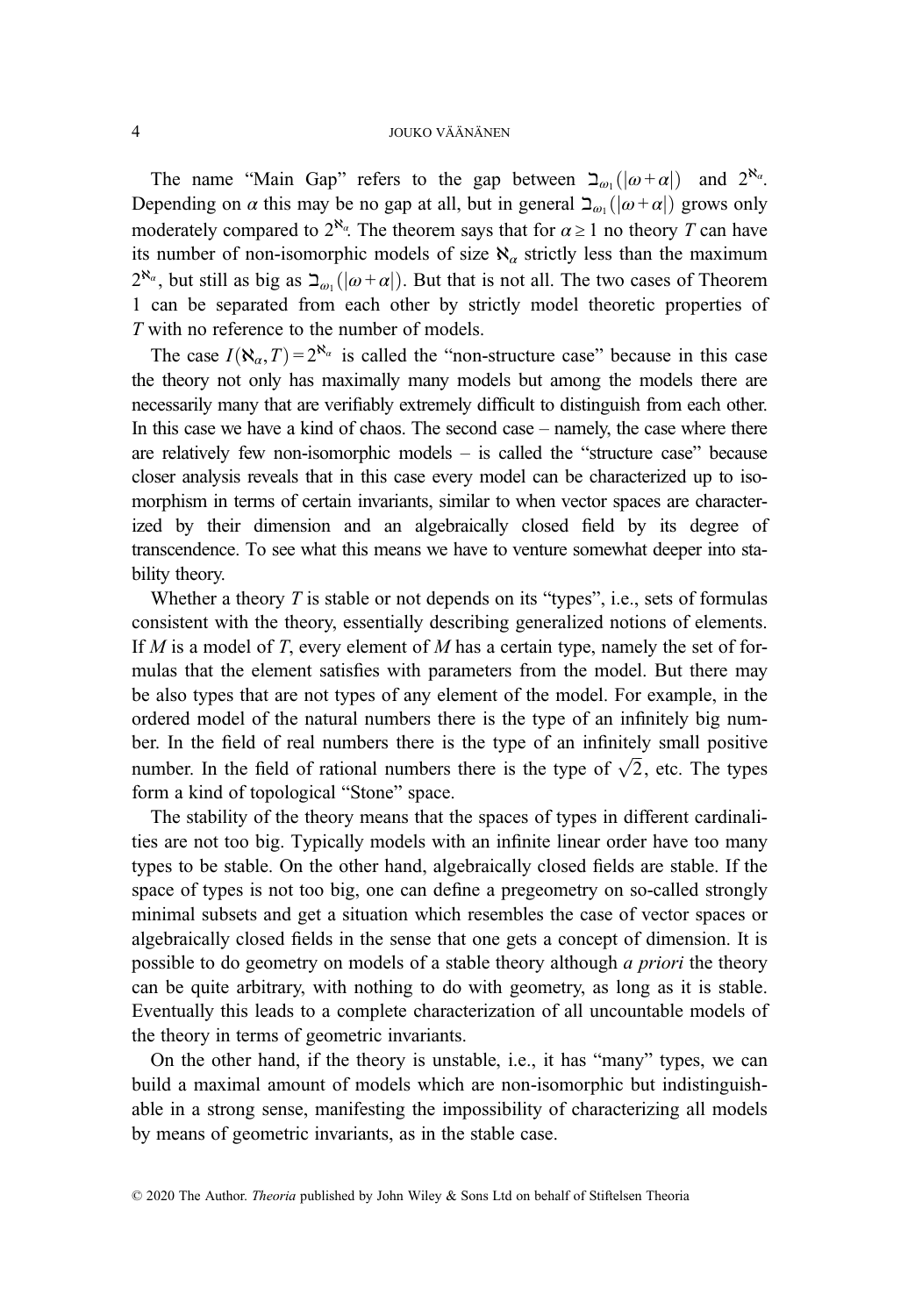The name "Main Gap" refers to the gap between  $\sum_{\omega_1}(|\omega + \alpha|)$  and  $2^{\aleph_{\alpha}}$ . Depending on  $\alpha$  this may be no gap at all, but in general  $\sum_{\omega_1} (\vert \omega + \alpha \vert)$  grows only moderately compared to  $2^{\aleph_{\alpha}}$ . The theorem says that for  $\alpha \geq 1$  no theory T can have its number of non-isomorphic models of size  $\aleph_{\alpha}$  strictly less than the maximum  $2^{\aleph_{\alpha}}$ , but still as big as  $\Delta_{\omega_1}(|\omega+\alpha|)$ . But that is not all. The two cases of Theorem 1 can be separated from each other by strictly model theoretic properties of T with no reference to the number of models.

The case  $I(\aleph_{\alpha}, T) = 2^{\aleph_{\alpha}}$  is called the "non-structure case" because in this case the theory not only has maximally many models but among the models there are necessarily many that are verifiably extremely difficult to distinguish from each other. In this case we have a kind of chaos. The second case – namely, the case where there are relatively few non-isomorphic models – is called the "structure case" because closer analysis reveals that in this case every model can be characterized up to isomorphism in terms of certain invariants, similar to when vector spaces are characterized by their dimension and an algebraically closed field by its degree of transcendence. To see what this means we have to venture somewhat deeper into stability theory.

Whether a theory  $T$  is stable or not depends on its "types", i.e., sets of formulas consistent with the theory, essentially describing generalized notions of elements. If M is a model of T, every element of M has a certain type, namely the set of formulas that the element satisfies with parameters from the model. But there may be also types that are not types of any element of the model. For example, in the ordered model of the natural numbers there is the type of an infinitely big number. In the field of real numbers there is the type of an infinitely small positive ber. In the field of real numbers there is the type of an infinitely small positive<br>number. In the field of rational numbers there is the type of  $\sqrt{2}$ , etc. The types form a kind of topological "Stone" space.

The stability of the theory means that the spaces of types in different cardinalities are not too big. Typically models with an infinite linear order have too many types to be stable. On the other hand, algebraically closed fields are stable. If the space of types is not too big, one can define a pregeometry on so-called strongly minimal subsets and get a situation which resembles the case of vector spaces or algebraically closed fields in the sense that one gets a concept of dimension. It is possible to do geometry on models of a stable theory although a priori the theory can be quite arbitrary, with nothing to do with geometry, as long as it is stable. Eventually this leads to a complete characterization of all uncountable models of the theory in terms of geometric invariants.

On the other hand, if the theory is unstable, i.e., it has "many" types, we can build a maximal amount of models which are non-isomorphic but indistinguishable in a strong sense, manifesting the impossibility of characterizing all models by means of geometric invariants, as in the stable case.

© 2020 The Author. Theoria published by John Wiley & Sons Ltd on behalf of Stiftelsen Theoria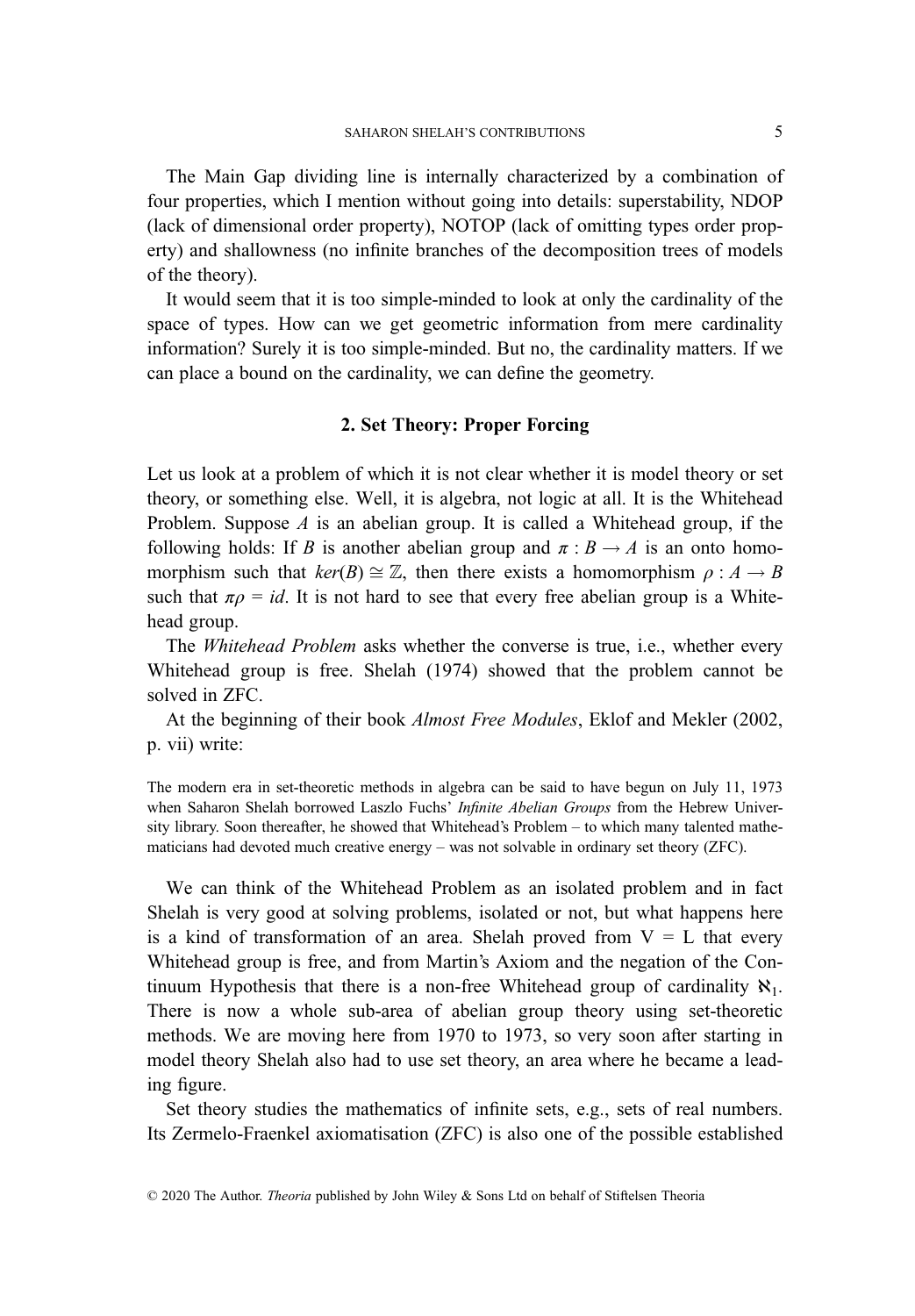The Main Gap dividing line is internally characterized by a combination of four properties, which I mention without going into details: superstability, NDOP (lack of dimensional order property), NOTOP (lack of omitting types order property) and shallowness (no infinite branches of the decomposition trees of models of the theory).

It would seem that it is too simple-minded to look at only the cardinality of the space of types. How can we get geometric information from mere cardinality information? Surely it is too simple-minded. But no, the cardinality matters. If we can place a bound on the cardinality, we can define the geometry.

# 2. Set Theory: Proper Forcing

Let us look at a problem of which it is not clear whether it is model theory or set theory, or something else. Well, it is algebra, not logic at all. It is the Whitehead Problem. Suppose  $A$  is an abelian group. It is called a Whitehead group, if the following holds: If B is another abelian group and  $\pi : B \to A$  is an onto homomorphism such that  $ker(B) \cong \mathbb{Z}$ , then there exists a homomorphism  $\rho : A \to B$ such that  $\pi \rho = id$ . It is not hard to see that every free abelian group is a Whitehead group.

The Whitehead Problem asks whether the converse is true, i.e., whether every Whitehead group is free. Shelah (1974) showed that the problem cannot be solved in ZFC.

At the beginning of their book Almost Free Modules, Eklof and Mekler (2002, p. vii) write:

The modern era in set-theoretic methods in algebra can be said to have begun on July 11, 1973 when Saharon Shelah borrowed Laszlo Fuchs' *Infinite Abelian Groups* from the Hebrew University library. Soon thereafter, he showed that Whitehead's Problem – to which many talented mathematicians had devoted much creative energy – was not solvable in ordinary set theory (ZFC).

We can think of the Whitehead Problem as an isolated problem and in fact Shelah is very good at solving problems, isolated or not, but what happens here is a kind of transformation of an area. Shelah proved from  $V = L$  that every Whitehead group is free, and from Martin's Axiom and the negation of the Continuum Hypothesis that there is a non-free Whitehead group of cardinality  $\aleph_1$ . There is now a whole sub-area of abelian group theory using set-theoretic methods. We are moving here from 1970 to 1973, so very soon after starting in model theory Shelah also had to use set theory, an area where he became a leading figure.

Set theory studies the mathematics of infinite sets, e.g., sets of real numbers. Its Zermelo-Fraenkel axiomatisation (ZFC) is also one of the possible established

<sup>© 2020</sup> The Author. Theoria published by John Wiley & Sons Ltd on behalf of Stiftelsen Theoria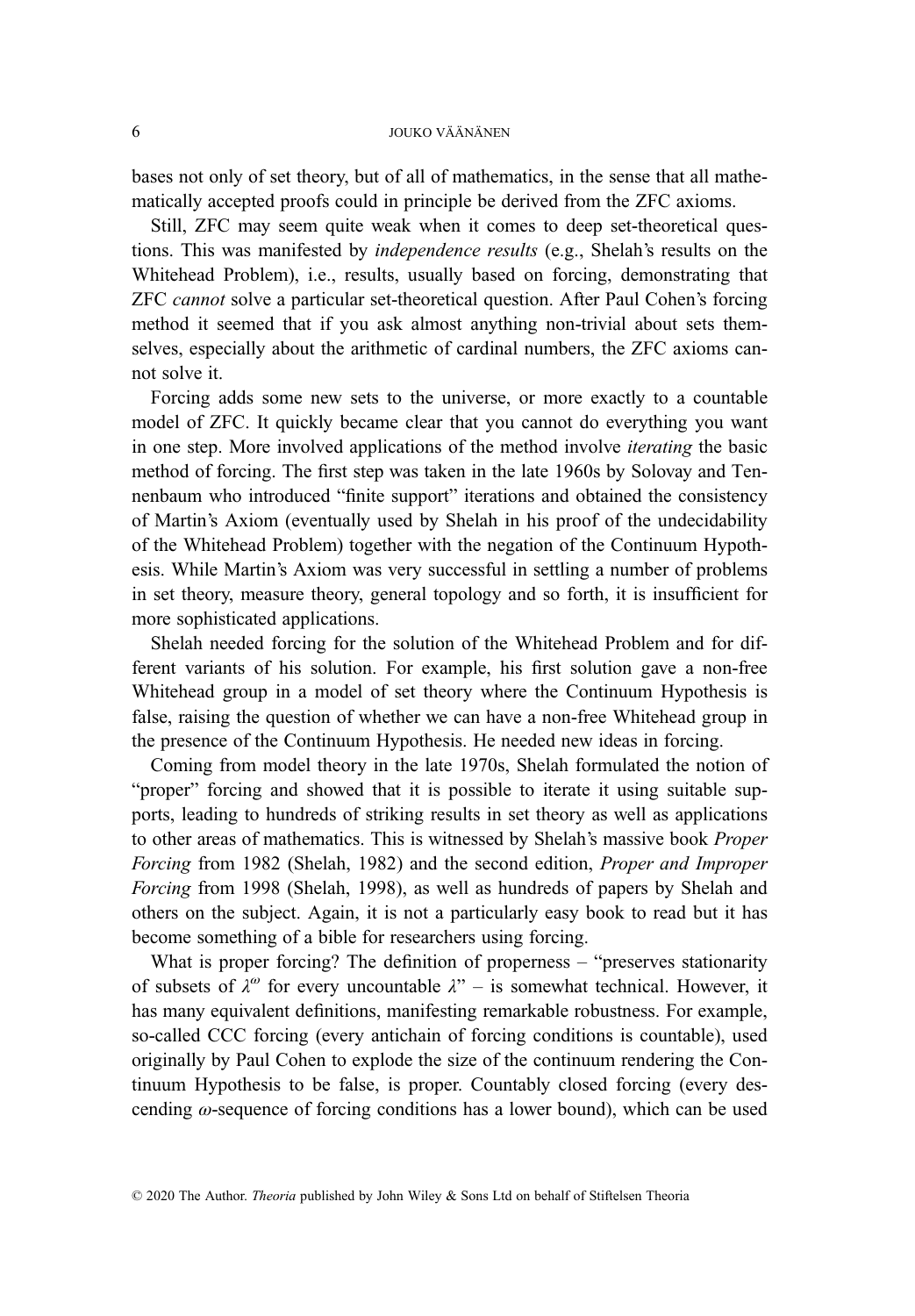bases not only of set theory, but of all of mathematics, in the sense that all mathematically accepted proofs could in principle be derived from the ZFC axioms.

Still, ZFC may seem quite weak when it comes to deep set-theoretical questions. This was manifested by independence results (e.g., Shelah's results on the Whitehead Problem), i.e., results, usually based on forcing, demonstrating that ZFC cannot solve a particular set-theoretical question. After Paul Cohen's forcing method it seemed that if you ask almost anything non-trivial about sets themselves, especially about the arithmetic of cardinal numbers, the ZFC axioms cannot solve it.

Forcing adds some new sets to the universe, or more exactly to a countable model of ZFC. It quickly became clear that you cannot do everything you want in one step. More involved applications of the method involve iterating the basic method of forcing. The first step was taken in the late 1960s by Solovay and Tennenbaum who introduced "finite support" iterations and obtained the consistency of Martin's Axiom (eventually used by Shelah in his proof of the undecidability of the Whitehead Problem) together with the negation of the Continuum Hypothesis. While Martin's Axiom was very successful in settling a number of problems in set theory, measure theory, general topology and so forth, it is insufficient for more sophisticated applications.

Shelah needed forcing for the solution of the Whitehead Problem and for different variants of his solution. For example, his first solution gave a non-free Whitehead group in a model of set theory where the Continuum Hypothesis is false, raising the question of whether we can have a non-free Whitehead group in the presence of the Continuum Hypothesis. He needed new ideas in forcing.

Coming from model theory in the late 1970s, Shelah formulated the notion of "proper" forcing and showed that it is possible to iterate it using suitable supports, leading to hundreds of striking results in set theory as well as applications to other areas of mathematics. This is witnessed by Shelah's massive book Proper Forcing from 1982 (Shelah, 1982) and the second edition, Proper and Improper Forcing from 1998 (Shelah, 1998), as well as hundreds of papers by Shelah and others on the subject. Again, it is not a particularly easy book to read but it has become something of a bible for researchers using forcing.

What is proper forcing? The definition of properness – "preserves stationarity" of subsets of  $\lambda^{\omega}$  for every uncountable  $\lambda^{\omega}$  – is somewhat technical. However, it has many equivalent definitions, manifesting remarkable robustness. For example, so-called CCC forcing (every antichain of forcing conditions is countable), used originally by Paul Cohen to explode the size of the continuum rendering the Continuum Hypothesis to be false, is proper. Countably closed forcing (every descending  $\omega$ -sequence of forcing conditions has a lower bound), which can be used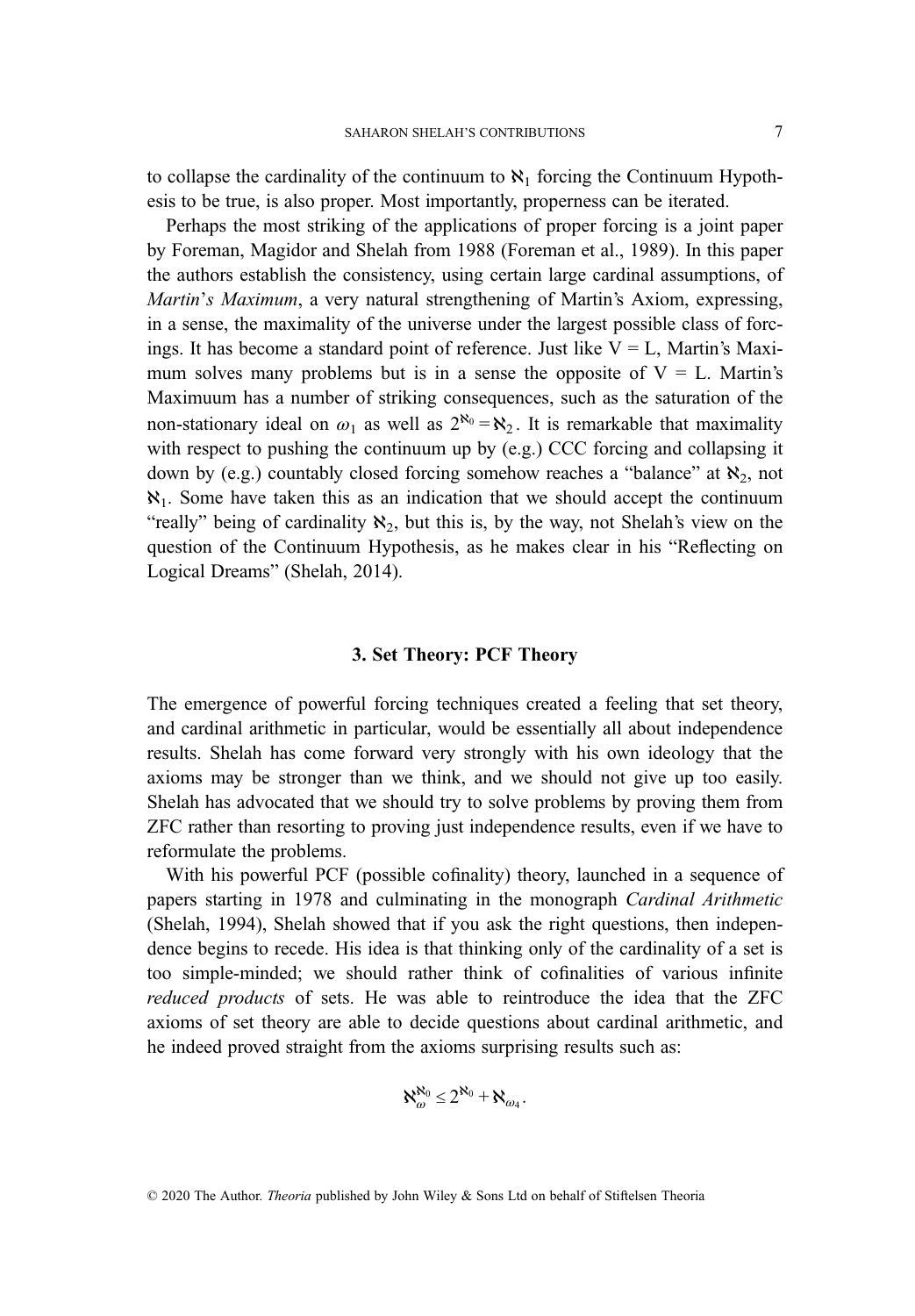to collapse the cardinality of the continuum to  $\aleph_1$  forcing the Continuum Hypothesis to be true, is also proper. Most importantly, properness can be iterated.

Perhaps the most striking of the applications of proper forcing is a joint paper by Foreman, Magidor and Shelah from 1988 (Foreman et al., 1989). In this paper the authors establish the consistency, using certain large cardinal assumptions, of Martin's Maximum, a very natural strengthening of Martin's Axiom, expressing, in a sense, the maximality of the universe under the largest possible class of forcings. It has become a standard point of reference. Just like  $V = L$ , Martin's Maximum solves many problems but is in a sense the opposite of  $V = L$ . Martin's Maximuum has a number of striking consequences, such as the saturation of the non-stationary ideal on  $\omega_1$  as well as  $2^{\aleph_0} = \aleph_2$ . It is remarkable that maximality with respect to pushing the continuum up by (e.g.) CCC forcing and collapsing it down by (e.g.) countably closed forcing somehow reaches a "balance" at  $\aleph_2$ , not  $\aleph_1$ . Some have taken this as an indication that we should accept the continuum "really" being of cardinality  $\aleph_2$ , but this is, by the way, not Shelah's view on the question of the Continuum Hypothesis, as he makes clear in his "Reflecting on Logical Dreams" (Shelah, 2014).

# 3. Set Theory: PCF Theory

The emergence of powerful forcing techniques created a feeling that set theory, and cardinal arithmetic in particular, would be essentially all about independence results. Shelah has come forward very strongly with his own ideology that the axioms may be stronger than we think, and we should not give up too easily. Shelah has advocated that we should try to solve problems by proving them from ZFC rather than resorting to proving just independence results, even if we have to reformulate the problems.

With his powerful PCF (possible cofinality) theory, launched in a sequence of papers starting in 1978 and culminating in the monograph Cardinal Arithmetic (Shelah, 1994), Shelah showed that if you ask the right questions, then independence begins to recede. His idea is that thinking only of the cardinality of a set is too simple-minded; we should rather think of cofinalities of various infinite reduced products of sets. He was able to reintroduce the idea that the ZFC axioms of set theory are able to decide questions about cardinal arithmetic, and he indeed proved straight from the axioms surprising results such as:

$$
\aleph_{\omega}^{\aleph_0} \leq 2^{\aleph_0} + \aleph_{\omega_4}.
$$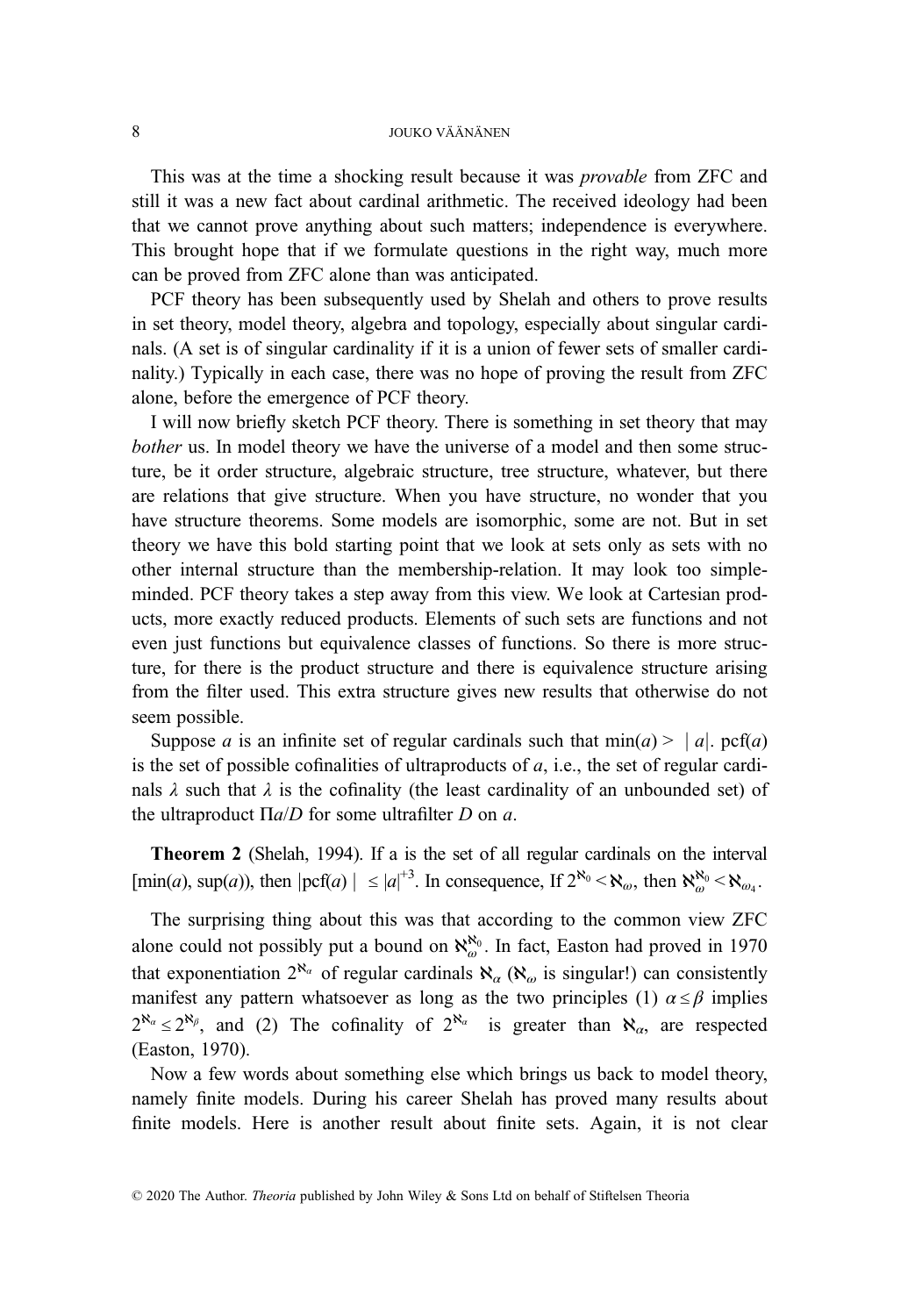This was at the time a shocking result because it was provable from ZFC and still it was a new fact about cardinal arithmetic. The received ideology had been that we cannot prove anything about such matters; independence is everywhere. This brought hope that if we formulate questions in the right way, much more can be proved from ZFC alone than was anticipated.

PCF theory has been subsequently used by Shelah and others to prove results in set theory, model theory, algebra and topology, especially about singular cardinals. (A set is of singular cardinality if it is a union of fewer sets of smaller cardinality.) Typically in each case, there was no hope of proving the result from ZFC alone, before the emergence of PCF theory.

I will now briefly sketch PCF theory. There is something in set theory that may bother us. In model theory we have the universe of a model and then some structure, be it order structure, algebraic structure, tree structure, whatever, but there are relations that give structure. When you have structure, no wonder that you have structure theorems. Some models are isomorphic, some are not. But in set theory we have this bold starting point that we look at sets only as sets with no other internal structure than the membership-relation. It may look too simpleminded. PCF theory takes a step away from this view. We look at Cartesian products, more exactly reduced products. Elements of such sets are functions and not even just functions but equivalence classes of functions. So there is more structure, for there is the product structure and there is equivalence structure arising from the filter used. This extra structure gives new results that otherwise do not seem possible.

Suppose a is an infinite set of regular cardinals such that  $min(a) > |a|$ . pcf(a) is the set of possible cofinalities of ultraproducts of  $a$ , i.e., the set of regular cardinals  $\lambda$  such that  $\lambda$  is the cofinality (the least cardinality of an unbounded set) of the ultraproduct  $\Pi$ *a*/*D* for some ultrafilter *D* on *a*.

Theorem 2 (Shelah, 1994). If a is the set of all regular cardinals on the interval [min(*a*), sup(*a*)), then  $|\text{pcf}(a)| \leq |a|^{+3}$ . In consequence, If  $2^{\aleph_0} < \aleph_{\omega_0}$ , then  $\aleph_{\omega_0}^{\aleph_0} < \aleph_{\omega_4}$ .

The surprising thing about this was that according to the common view ZFC alone could not possibly put a bound on  $\aleph_{\omega}^{\aleph_0}$ . In fact, Easton had proved in 1970 that exponentiation  $2^{\aleph_{\alpha}}$  of regular cardinals  $\aleph_{\alpha}$  ( $\aleph_{\alpha}$  is singular!) can consistently manifest any pattern whatsoever as long as the two principles (1)  $\alpha \leq \beta$  implies  $2^{\aleph_{\alpha}} \leq 2^{\aleph_{\beta}}$ , and (2) The cofinality of  $2^{\aleph_{\alpha}}$  is greater than  $\aleph_{\alpha}$ , are respected (Easton, 1970).

Now a few words about something else which brings us back to model theory, namely finite models. During his career Shelah has proved many results about finite models. Here is another result about finite sets. Again, it is not clear

© 2020 The Author. Theoria published by John Wiley & Sons Ltd on behalf of Stiftelsen Theoria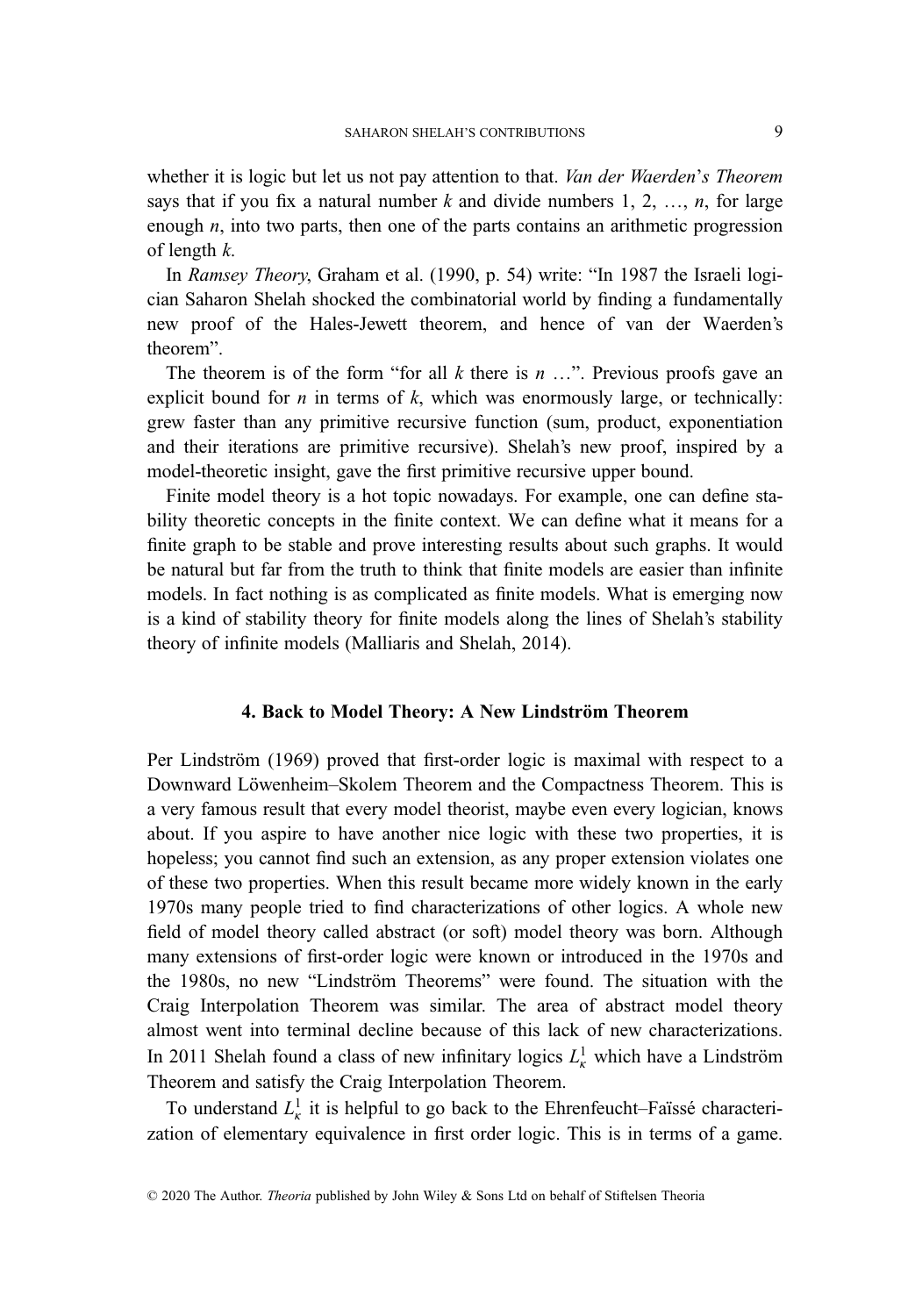whether it is logic but let us not pay attention to that. *Van der Waerden's Theorem* says that if you fix a natural number k and divide numbers 1, 2,  $\ldots$ , n, for large enough *n*, into two parts, then one of the parts contains an arithmetic progression of length  $k$ .

In Ramsey Theory, Graham et al. (1990, p. 54) write: "In 1987 the Israeli logician Saharon Shelah shocked the combinatorial world by finding a fundamentally new proof of the Hales-Jewett theorem, and hence of van der Waerden's theorem".

The theorem is of the form "for all  $k$  there is  $n \ldots$ ". Previous proofs gave an explicit bound for  $n$  in terms of  $k$ , which was enormously large, or technically: grew faster than any primitive recursive function (sum, product, exponentiation and their iterations are primitive recursive). Shelah's new proof, inspired by a model-theoretic insight, gave the first primitive recursive upper bound.

Finite model theory is a hot topic nowadays. For example, one can define stability theoretic concepts in the finite context. We can define what it means for a finite graph to be stable and prove interesting results about such graphs. It would be natural but far from the truth to think that finite models are easier than infinite models. In fact nothing is as complicated as finite models. What is emerging now is a kind of stability theory for finite models along the lines of Shelah's stability theory of infinite models (Malliaris and Shelah, 2014).

# 4. Back to Model Theory: A New Lindström Theorem

Per Lindström (1969) proved that first-order logic is maximal with respect to a Downward Löwenheim–Skolem Theorem and the Compactness Theorem. This is a very famous result that every model theorist, maybe even every logician, knows about. If you aspire to have another nice logic with these two properties, it is hopeless; you cannot find such an extension, as any proper extension violates one of these two properties. When this result became more widely known in the early 1970s many people tried to find characterizations of other logics. A whole new field of model theory called abstract (or soft) model theory was born. Although many extensions of first-order logic were known or introduced in the 1970s and the 1980s, no new "Lindström Theorems" were found. The situation with the Craig Interpolation Theorem was similar. The area of abstract model theory almost went into terminal decline because of this lack of new characterizations. In 2011 Shelah found a class of new infinitary logics  $L^1_k$  which have a Lindström Theorem and satisfy the Craig Interpolation Theorem.

To understand  $L_{\kappa}^1$  it is helpful to go back to the Ehrenfeucht–Faïssé characterization of elementary equivalence in first order logic. This is in terms of a game.

<sup>© 2020</sup> The Author. Theoria published by John Wiley & Sons Ltd on behalf of Stiftelsen Theoria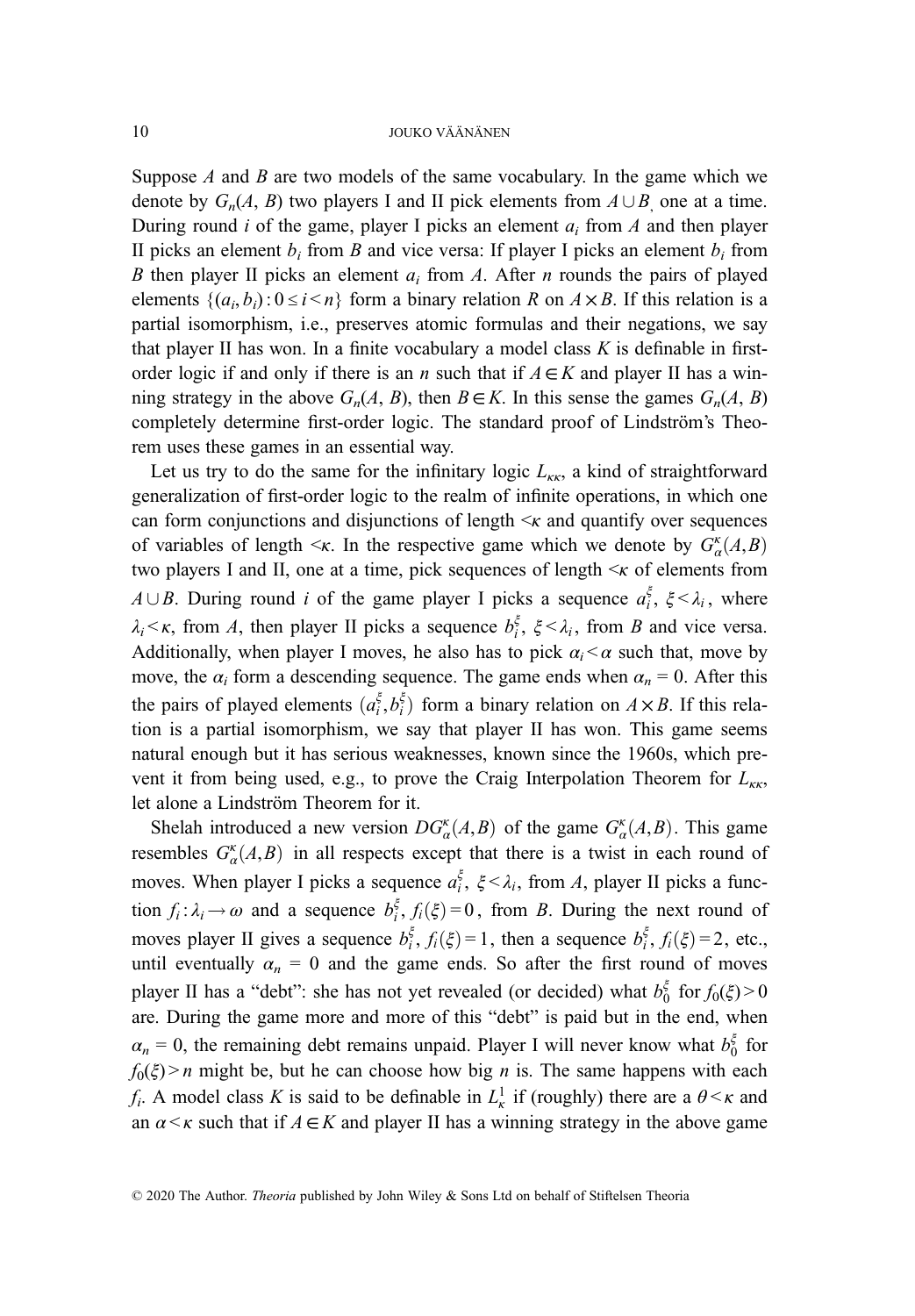Suppose  $A$  and  $B$  are two models of the same vocabulary. In the game which we denote by  $G_n(A, B)$  two players I and II pick elements from  $A \cup B$  one at a time. During round *i* of the game, player I picks an element  $a_i$  from *A* and then player II picks an element  $b_i$  from B and vice versa: If player I picks an element  $b_i$  from B then player II picks an element  $a_i$  from A. After n rounds the pairs of played elements  $\{(a_i, b_i): 0 \le i \le n\}$  form a binary relation R on  $A \times B$ . If this relation is a partial isomorphism, i.e., preserves atomic formulas and their negations, we say that player II has won. In a finite vocabulary a model class  $K$  is definable in firstorder logic if and only if there is an *n* such that if  $A \in K$  and player II has a winning strategy in the above  $G_n(A, B)$ , then  $B \in K$ . In this sense the games  $G_n(A, B)$ completely determine first-order logic. The standard proof of Lindström's Theorem uses these games in an essential way.

Let us try to do the same for the infinitary logic  $L_{\kappa r}$ , a kind of straightforward generalization of first-order logic to the realm of infinite operations, in which one can form conjunctions and disjunctions of length  $\leq$  and quantify over sequences of variables of length  $\leq \kappa$ . In the respective game which we denote by  $G_{\alpha}^{\kappa}(A,B)$ <br>two players I and II are at a time pick sequences of length  $\leq \kappa$  of elements from two players I and II, one at a time, pick sequences of length  $\leq$  of elements from A  $\cup$  B. During round i of the game player I picks a sequence  $a_i^{\xi}$ ,  $\xi < \lambda_i$ , where  $\lambda_i < \kappa$ , from A, then player II picks a sequence  $b_i^{\xi}$ ,  $\xi < \lambda_i$ , from B and vice versa. Additionally, when player I moves, he also has to pick  $\alpha_i < \alpha$  such that, move by move, the  $\alpha_i$  form a descending sequence. The game ends when  $\alpha_n = 0$ . After this the pairs of played elements  $(a_i^{\xi}, b_i^{\xi})$  form a binary relation on  $A \times B$ . If this rela-<br>tion is a partial isomorphism we say that player II has won. This game seems tion is a partial isomorphism, we say that player II has won. This game seems natural enough but it has serious weaknesses, known since the 1960s, which prevent it from being used, e.g., to prove the Craig Interpolation Theorem for  $L_{\kappa\kappa}$ , let alone a Lindström Theorem for it.

Shelah introduced a new version  $DG_{\alpha}^{\kappa}(A, B)$  of the game  $G_{\alpha}^{\kappa}(A, B)$ . This game<br>rembles  $G_{\alpha}^{\kappa}(A, B)$  in all reprects except that there is a twist in each round of resembles  $G_{\alpha}^{\kappa}(A, B)$  in all respects except that there is a twist in each round of moves. When player I picks a sequence  $a_i^{\xi}$ ,  $\xi < \lambda_i$ , from A, player II picks a function  $f_i : \lambda_i \to \omega$  and a sequence  $b_i^{\xi}, f_i(\xi) = 0$ , from B. During the next round of moves player II gives a sequence  $b_i^{\xi}$ ,  $f_i(\xi) = 1$ , then a sequence  $b_i^{\xi}$ ,  $f_i(\xi) = 2$ , etc., until eventually  $\alpha_n = 0$  and the game ends. So after the first round of moves player II has a "debt": she has not yet revealed (or decided) what  $b_0^{\xi}$  for  $f_0(\xi) > 0$ are. During the game more and more of this "debt" is paid but in the end, when  $\alpha_n = 0$ , the remaining debt remains unpaid. Player I will never know what  $b_0^{\xi}$  for  $f_0(\xi) > n$  might be, but he can choose how big *n* is. The same happens with each  $f_i$ . A model class K is said to be definable in  $L^1_k$  if (roughly) there are a  $\theta \le \kappa$  and an  $\alpha < \kappa$  such that if  $A \in K$  and player II has a winning strategy in the above game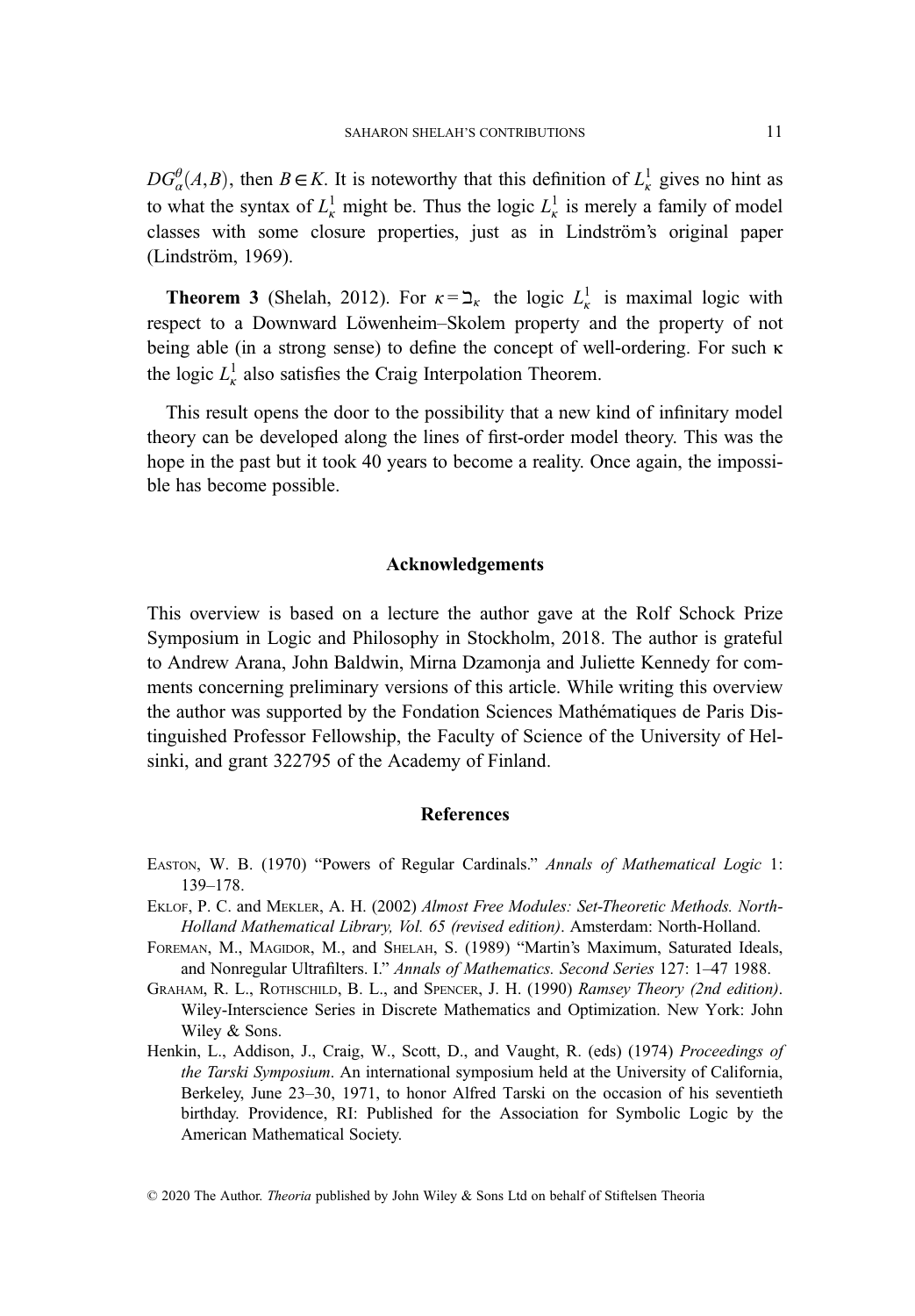$DG_{\alpha}^{\theta}(A,B)$ , then  $B \in K$ . It is noteworthy that this definition of  $L_{\kappa}^{1}$  gives no hint as to what the syntax of  $L^1_k$  might be. Thus the logic  $L^1_k$  is merely a family of model classes with some closure properties, just as in Lindström's original paper (Lindström, 1969).

**Theorem 3** (Shelah, 2012). For  $\kappa = \frac{1}{\kappa}$  the logic  $L_{\kappa}^1$  is maximal logic with respect to a Downward Löwenheim–Skolem property and the property of not being able (in a strong sense) to define the concept of well-ordering. For such κ the logic  $L_{\kappa}^1$  also satisfies the Craig Interpolation Theorem.

This result opens the door to the possibility that a new kind of infinitary model theory can be developed along the lines of first-order model theory. This was the hope in the past but it took 40 years to become a reality. Once again, the impossible has become possible.

### Acknowledgements

This overview is based on a lecture the author gave at the Rolf Schock Prize Symposium in Logic and Philosophy in Stockholm, 2018. The author is grateful to Andrew Arana, John Baldwin, Mirna Dzamonja and Juliette Kennedy for comments concerning preliminary versions of this article. While writing this overview the author was supported by the Fondation Sciences Mathématiques de Paris Distinguished Professor Fellowship, the Faculty of Science of the University of Helsinki, and grant 322795 of the Academy of Finland.

# **References**

- EASTON, W. B. (1970) "Powers of Regular Cardinals." Annals of Mathematical Logic 1: 139–178.
- EKLOF, P. C. and MEKLER, A. H. (2002) Almost Free Modules: Set-Theoretic Methods. North-Holland Mathematical Library, Vol. 65 (revised edition). Amsterdam: North-Holland.
- FOREMAN, M., MAGIDOR, M., and SHELAH, S. (1989) "Martin's Maximum, Saturated Ideals, and Nonregular Ultrafilters. I." Annals of Mathematics. Second Series 127: 1–47 1988.
- GRAHAM, R. L., ROTHSCHILD, B. L., and SPENCER, J. H. (1990) Ramsey Theory (2nd edition). Wiley-Interscience Series in Discrete Mathematics and Optimization. New York: John Wiley & Sons.
- Henkin, L., Addison, J., Craig, W., Scott, D., and Vaught, R. (eds) (1974) Proceedings of the Tarski Symposium. An international symposium held at the University of California, Berkeley, June 23–30, 1971, to honor Alfred Tarski on the occasion of his seventieth birthday. Providence, RI: Published for the Association for Symbolic Logic by the American Mathematical Society.

<sup>© 2020</sup> The Author. Theoria published by John Wiley & Sons Ltd on behalf of Stiftelsen Theoria